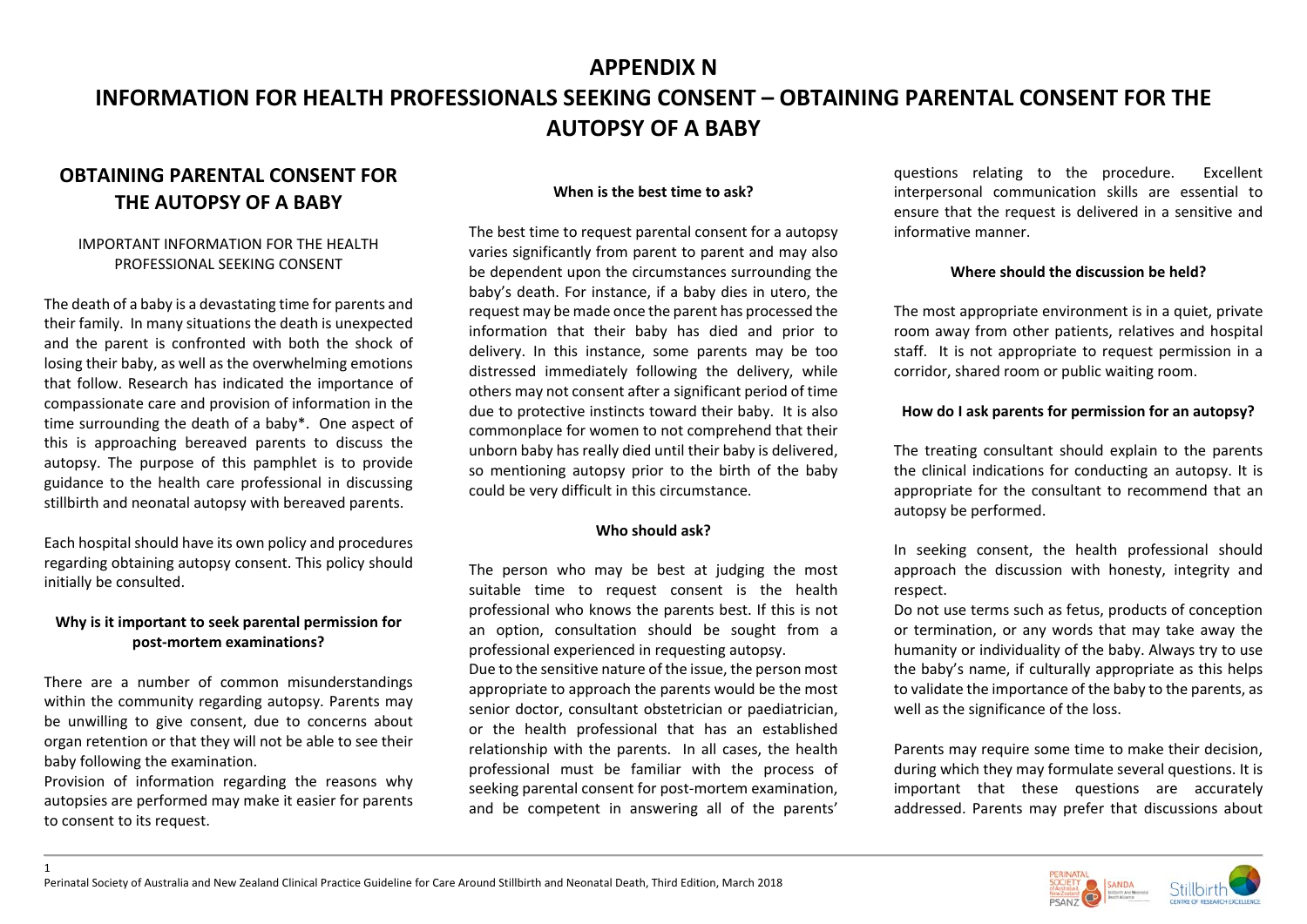# **APPENDIXN**

# **INFORMATION FOR HEALTH PROFESSIONALS SEEKING CONSENT – OBTAINING PARENTAL CONSENT FOR THE AUTOPSY OF A BABY**

# **OBTAINING PARENTAL CONSENT FOR THE AUTOPSY OF A BABY**

### IMPORTANT INFORMATION FOR THE HEALTH PROFESSIONAL SEEKING CONSENT

The death of <sup>a</sup> baby is <sup>a</sup> devastating time for parents and their family. In many situations the death is unexpected and the parent is confronted with both the shock of losing their baby, as well as the overwhelming emotions that follow. Research has indicated the importance of compassionate care and provision of information in the time surrounding the death of <sup>a</sup> baby\*. One aspect of this is approaching bereaved parents to discuss the autopsy. The purpose of this pamphlet is to provide guidance to the health care professional in discussing stillbirth and neonatal autopsy with bereaved parents.

Each hospital should have its own policy and procedures regarding obtaining autopsy consent. This policy should initially be consulted.

## **Why is it important to seek parental permission for post‐mortem examinations?**

There are <sup>a</sup> number of common misunderstandings within the community regarding autopsy. Parents may be unwilling to give consent, due to concerns about organ retention or that they will not be able to see their baby following the examination.

Provision of information regarding the reasons why autopsies are performed may make it easier for parents to consent to its request.

#### **When is the best time to ask?**

The best time to request parental consent for <sup>a</sup> autopsy varies significantly from parent to parent and may also be dependent upon the circumstances surrounding the baby's death. For instance, if <sup>a</sup> baby dies in utero, the request may be made once the parent has processed the information that their baby has died and prior to delivery. In this instance, some parents may be too distressed immediately following the delivery, while others may not consent after <sup>a</sup> significant period of time due to protective instincts toward their baby. It is also commonplace for women to not comprehend that their unborn baby has really died until their baby is delivered, so mentioning autopsy prior to the birth of the baby could be very difficult in this circumstance.

#### **Who should ask?**

The person who may be best at judging the most suitable time to request consent is the health professional who knows the parents best. If this is not an option, consultation should be sought from <sup>a</sup> professional experienced in requesting autopsy.

Due to the sensitive nature of the issue, the person most appropriate to approach the parents would be the most senior doctor, consultant obstetrician or paediatrician, or the health professional that has an established relationship with the parents. In all cases, the health professional must be familiar with the process of seeking parental consent for post‐mortem examination, and be competent in answering all of the parents'

questions relating to the procedure. Excellent interpersonal communication skills are essential to ensure that the request is delivered in <sup>a</sup> sensitive and informative manner.

#### **Where should the discussion be held?**

The most appropriate environment is in <sup>a</sup> quiet, private room away from other patients, relatives and hospital staff. It is not appropriate to request permission in <sup>a</sup> corridor, shared room or public waiting room.

#### **How do I ask parents for permission for an autopsy?**

The treating consultant should explain to the parents the clinical indications for conducting an autopsy. It is appropriate for the consultant to recommend that an autopsy be performed.

In seeking consent, the health professional should approach the discussion with honesty, integrity and respect.

Do not use terms such as fetus, products of conception or termination, or any words that may take away the humanity or individuality of the baby. Always try to use the baby's name, if culturally appropriate as this helps to validate the importance of the baby to the parents, as well as the significance of the loss.

Parents may require some time to make their decision, during which they may formulate several questions. It is important that these questions are accurately addressed. Parents may prefer that discussions about